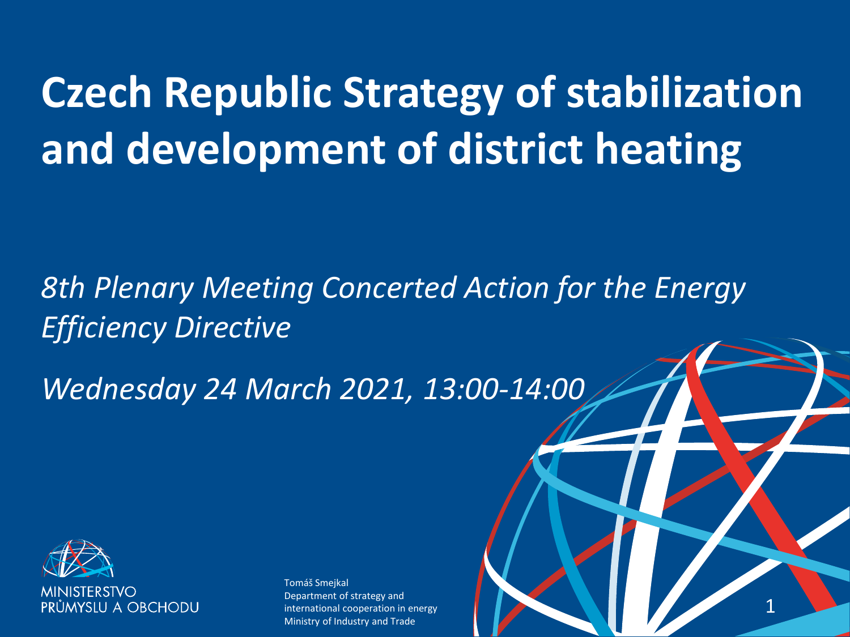# **Czech Republic Strategy of stabilization and development of district heating**

### *8th Plenary Meeting Concerted Action for the Energy Efficiency Directive*

*Wednesday 24 March 2021, 13:00-14:00*

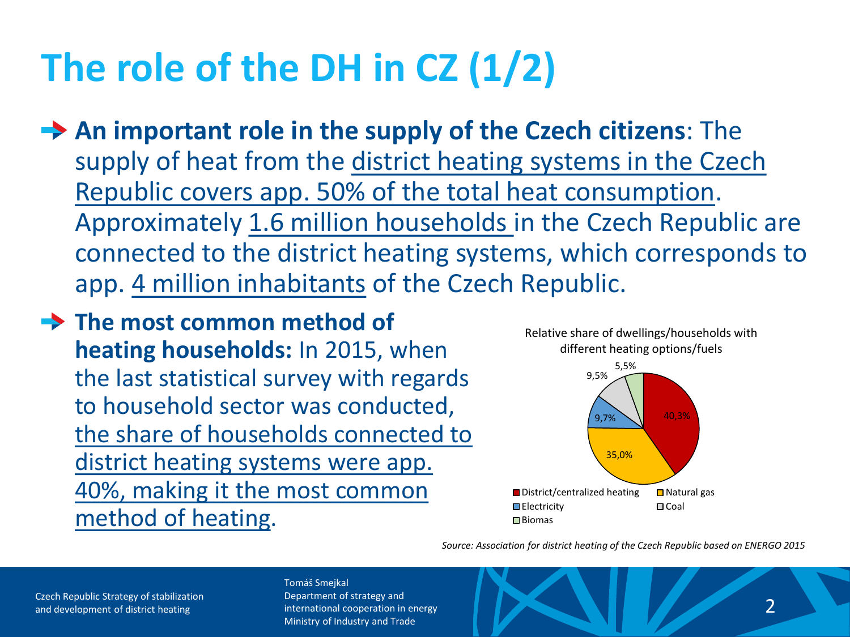# **The role of the DH in CZ (1/2)**

- **An important role in the supply of the Czech citizens**: The supply of heat from the district heating systems in the Czech Republic covers app. 50% of the total heat consumption. Approximately 1.6 million households in the Czech Republic are connected to the district heating systems, which corresponds to app. 4 million inhabitants of the Czech Republic.
- **The most common method of heating households:** In 2015, when the last statistical survey with regards to household sector was conducted, the share of households connected to district heating systems were app. 40%, making it the most common method of heating.



*Source: Association for district heating of the Czech Republic based on ENERGO 2015*

Czech Republic Strategy of stabilization and development of district heating and development of district heating and development of district heating 2

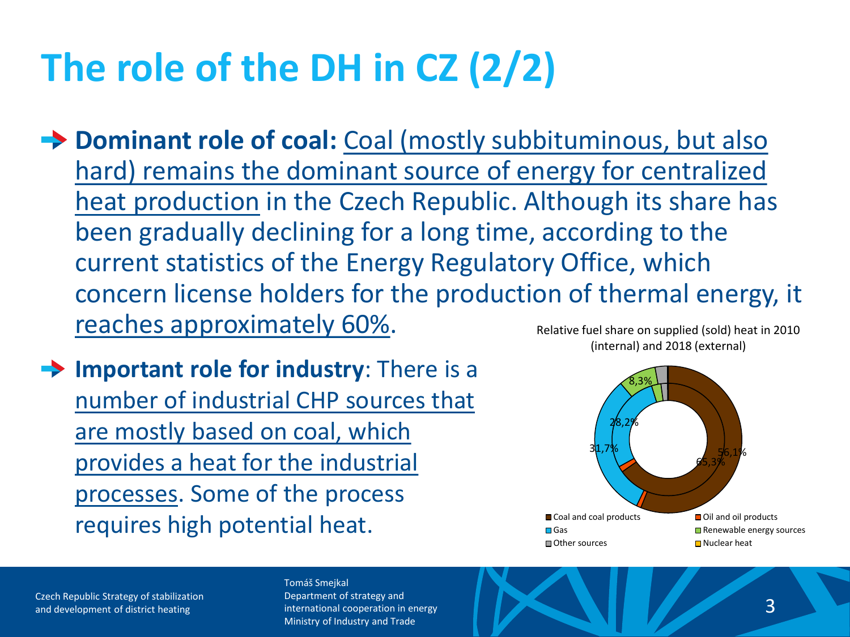# **The role of the DH in CZ (2/2)**

**→ Dominant role of coal:** Coal (mostly subbituminous, but also hard) remains the dominant source of energy for centralized heat production in the Czech Republic. Although its share has been gradually declining for a long time, according to the current statistics of the Energy Regulatory Office, which concern license holders for the production of thermal energy, it reaches approximately 60%. Relative fuel share on supplied (sold) heat in 2010

**Important role for industry:** There is a number of industrial CHP sources that are mostly based on coal, which provides a heat for the industrial processes. Some of the process requires high potential heat.



Czech Republic Strategy of stabilization and development of district heating international cooperation in energy and the computation of district heating  $\sim$  3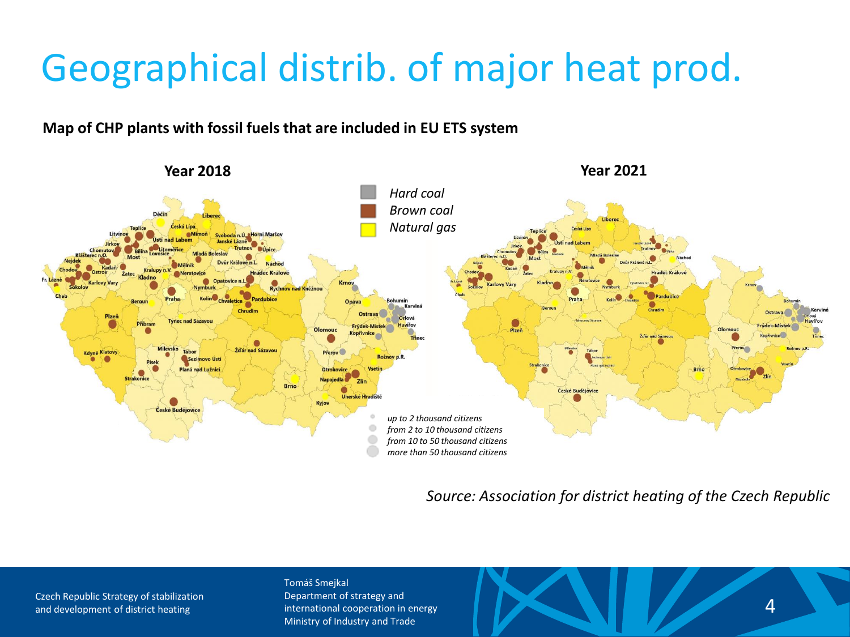### Geographical distrib. of major heat prod.

#### **Map of CHP plants with fossil fuels that are included in EU ETS system**



*Source: Association for district heating of the Czech Republic*

Czech Republic Strategy of stabilization

#### Tomáš Smejkal

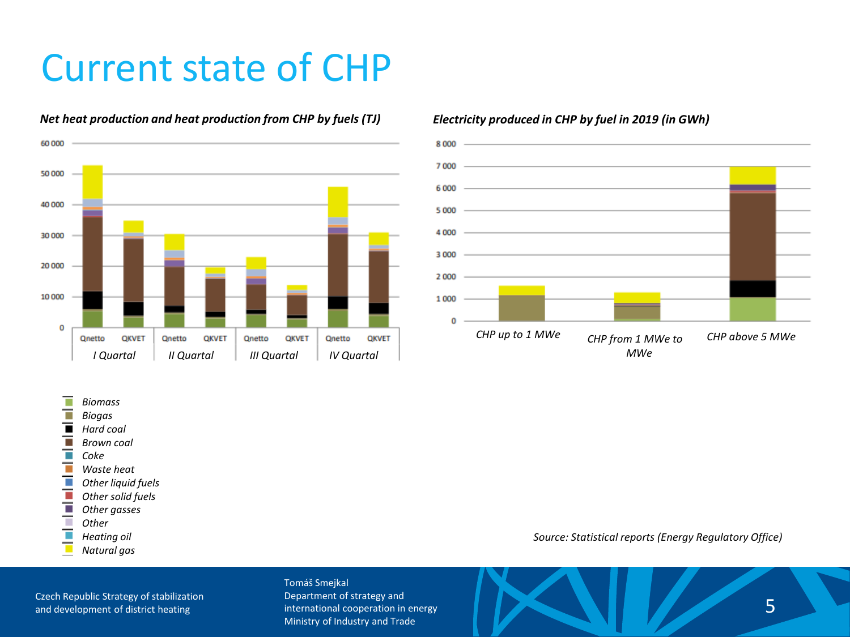### Current state of CHP



#### *Net heat production and heat production from CHP by fuels (TJ) Electricity produced in CHP by fuel in 2019 (in GWh)*



#### $\mathcal{L}_{\mathcal{A}}$ *Biomass*

- т *Biogas*
- $\overline{\phantom{a}}$ *Hard coal*
- π *Brown coal*
- π *Coke*
- Ŧ *Waste heat*
- Ŧ *Other liquid fuels*
- *Other solid fuels*
- *Other gasses*
- i *Other*
- *Heating oil*
- т *Natural gas*

Czech Republic Strategy of stabilization

#### Tomáš Smejkal Department of strategy and international cooperation in energy Ministry of Industry and Trade

#### *Source: Statistical reports (Energy Regulatory Office)*

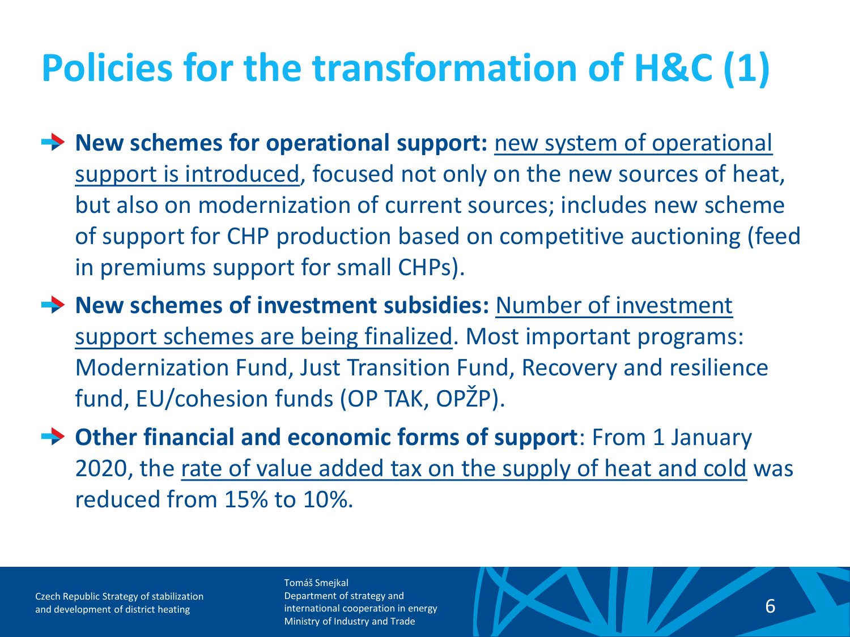# **Policies for the transformation of H&C (1)**

- **→ New schemes for operational support:** new system of operational support is introduced, focused not only on the new sources of heat, but also on modernization of current sources; includes new scheme of support for CHP production based on competitive auctioning (feed in premiums support for small CHPs).
- **→ New schemes of investment subsidies:** Number of investment support schemes are being finalized. Most important programs: Modernization Fund, Just Transition Fund, Recovery and resilience fund, EU/cohesion funds (OP TAK, OPŽP).
- **Other financial and economic forms of support**: From 1 January 2020, the rate of value added tax on the supply of heat and cold was reduced from 15% to 10%.

Czech Republic Strategy of stabilization

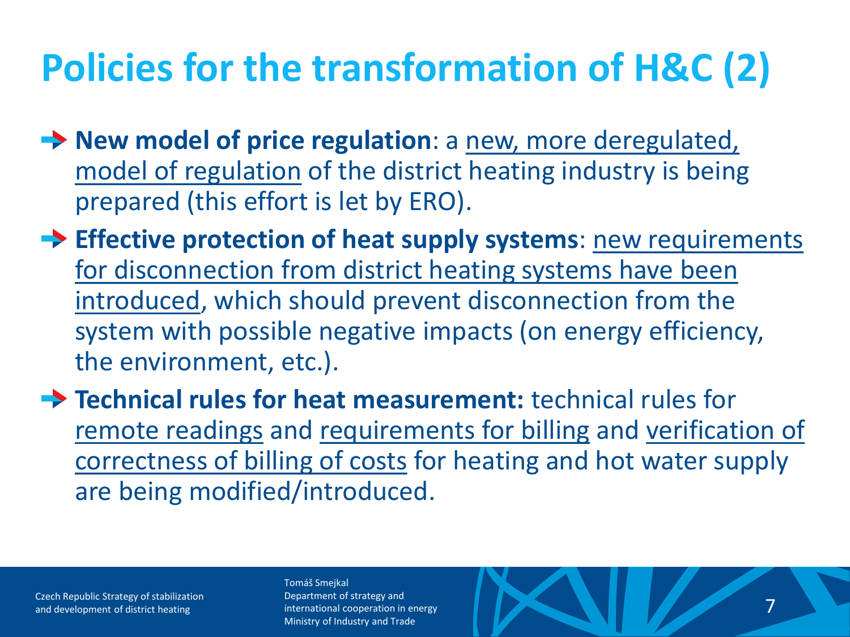# **Policies for the transformation of H&C (2)**

- **→ New model of price regulation**: a new, more deregulated, model of regulation of the district heating industry is being prepared (this effort is let by ERO).
- **Effective protection of heat supply systems**: new requirements for disconnection from district heating systems have been introduced, which should prevent disconnection from the system with possible negative impacts (on energy efficiency, the environment, etc.).
- **Technical rules for heat measurement: technical rules for** remote readings and requirements for billing and verification of correctness of billing of costs for heating and hot water supply are being modified/introduced.

Czech Republic Strategy of stabilization and development of district heating international cooperation in energy and the computation of district heating  $\sim$  7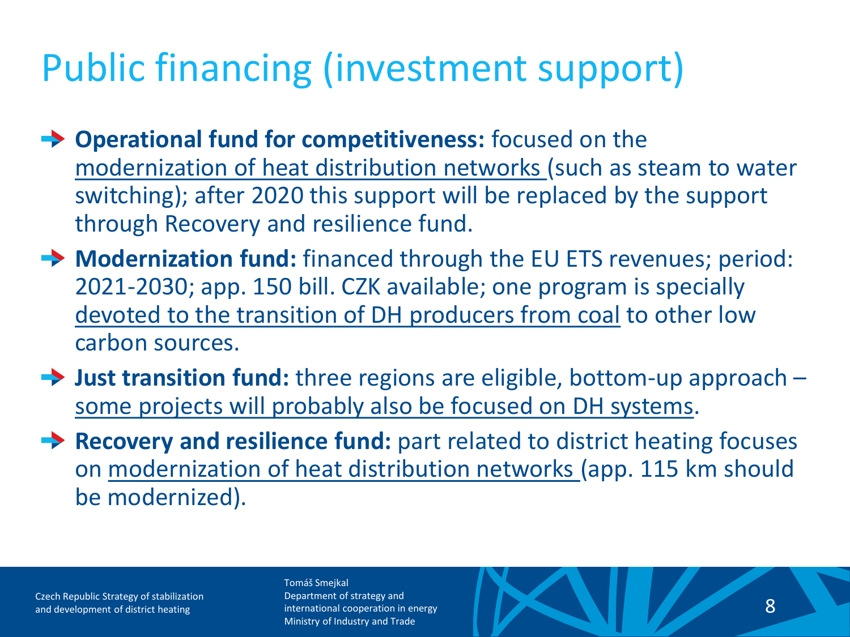### Public financing (investment support)

- **→ Operational fund for competitiveness:** focused on the modernization of heat distribution networks (such as steam to water switching); after 2020 this support will be replaced by the support through Recovery and resilience fund.
- **Modernization fund:** financed through the EU ETS revenues; period: 2021-2030; app. 150 bill. CZK available; one program is specially devoted to the transition of DH producers from coal to other low carbon sources.
- **→ Just transition fund:** three regions are eligible, bottom-up approach some projects will probably also be focused on DH systems.
- **Recovery and resilience fund:** part related to district heating focuses on modernization of heat distribution networks (app. 115 km should be modernized).

Czech Republic Strategy of stabilization

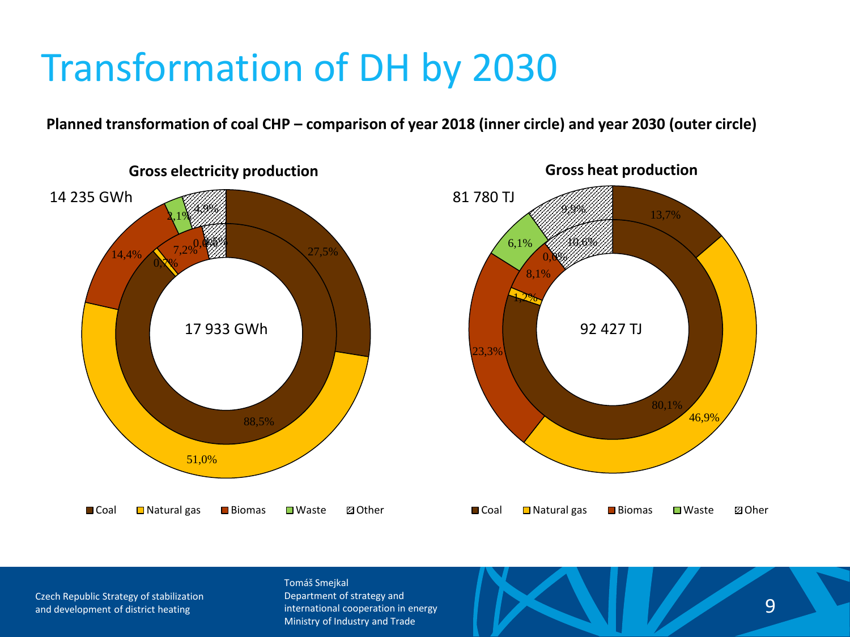**Planned transformation of coal CHP – comparison of year 2018 (inner circle) and year 2030 (outer circle)**



Czech Republic Strategy of stabilization

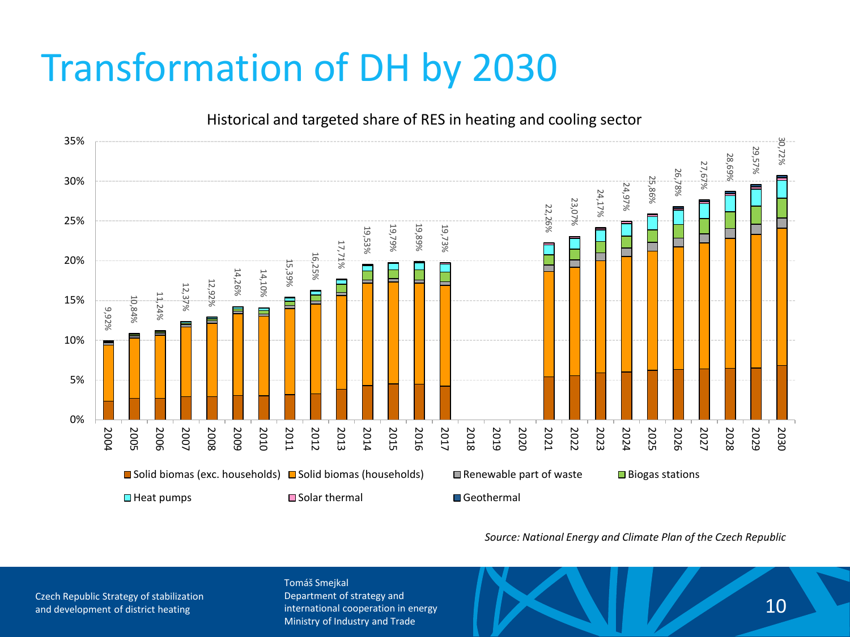

*Source: National Energy and Climate Plan of the Czech Republic*

Czech Republic Strategy of stabilization

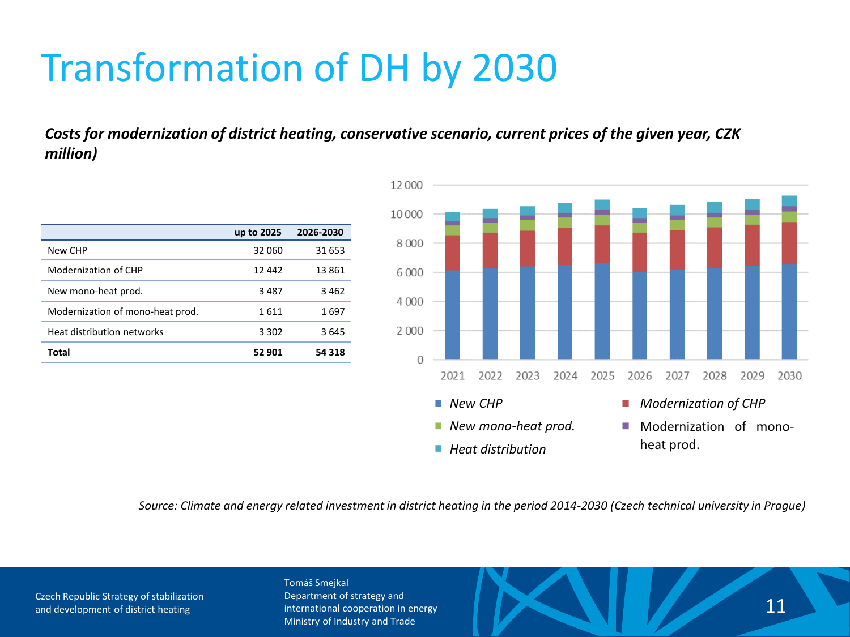*Costs for modernization of district heating, conservative scenario, current prices of the given year, CZK million)* 

|                                  | up to 2025 | 2026-2030 |
|----------------------------------|------------|-----------|
| New CHP                          | 32.060     | 31 653    |
| Modernization of CHP             | 12 442     | 13861     |
| New mono-heat prod.              | 3487       | 3462      |
| Modernization of mono-heat prod. | 1611       | 1697      |
| Heat distribution networks       | 3 3 0 2    | 3645      |
| Total                            | 52 901     | 54318     |



*Source: Climate and energy related investment in district heating in the period 2014-2030 (Czech technical university in Prague)*

Czech Republic Strategy of stabilization

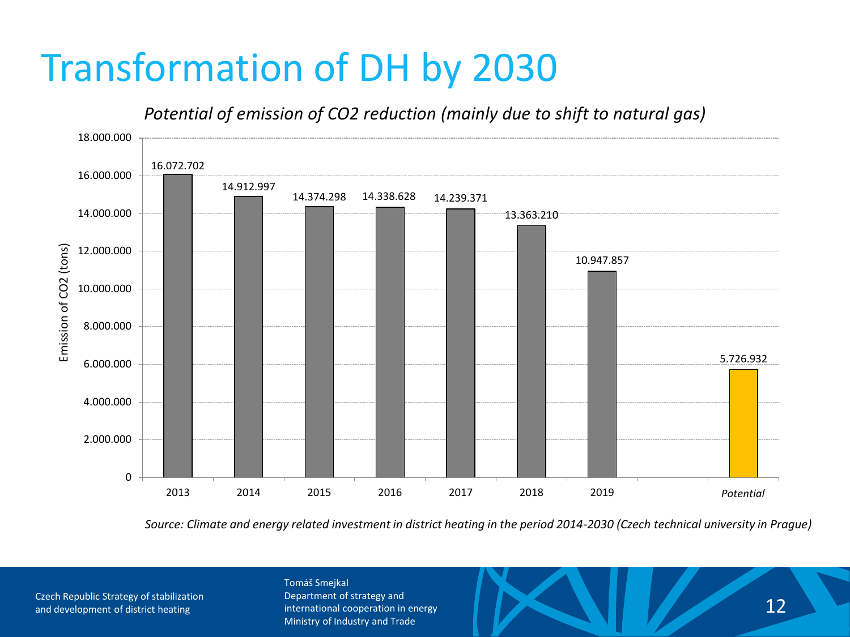### *Potential of emission of CO2 reduction (mainly due to shift to natural gas)*



*Source: Climate and energy related investment in district heating in the period 2014-2030 (Czech technical university in Prague)*

Czech Republic Strategy of stabilization and development of district heating **12** international cooperation in energy and the state of district heating international cooperation in energy and  $\sim$  12